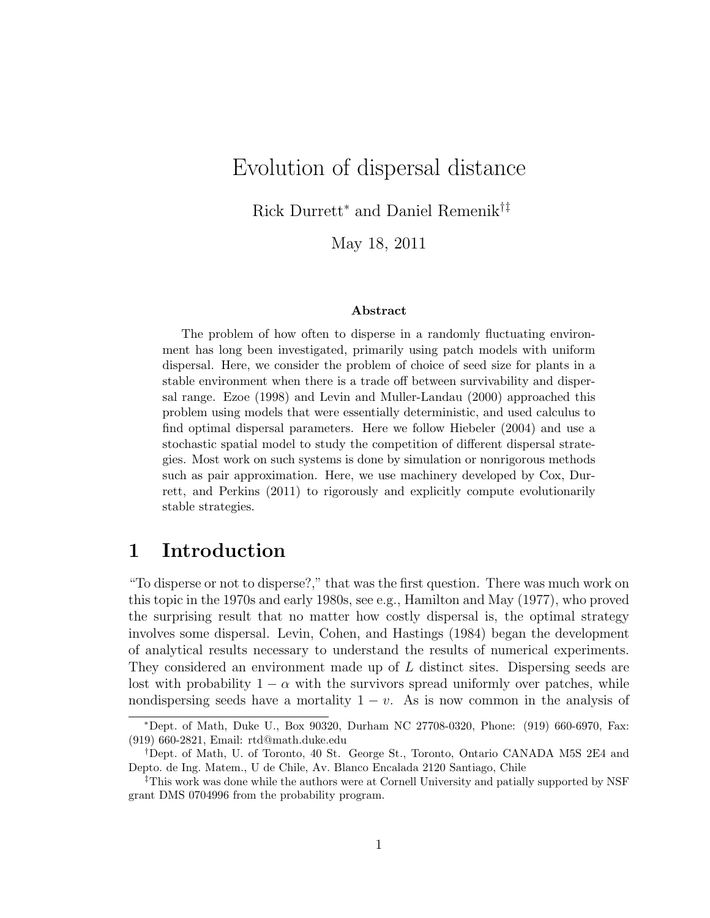# Evolution of dispersal distance

Rick Durrett<sup>∗</sup> and Daniel Remenik†‡

May 18, 2011

#### Abstract

The problem of how often to disperse in a randomly fluctuating environment has long been investigated, primarily using patch models with uniform dispersal. Here, we consider the problem of choice of seed size for plants in a stable environment when there is a trade off between survivability and dispersal range. Ezoe (1998) and Levin and Muller-Landau (2000) approached this problem using models that were essentially deterministic, and used calculus to find optimal dispersal parameters. Here we follow Hiebeler (2004) and use a stochastic spatial model to study the competition of different dispersal strategies. Most work on such systems is done by simulation or nonrigorous methods such as pair approximation. Here, we use machinery developed by Cox, Durrett, and Perkins (2011) to rigorously and explicitly compute evolutionarily stable strategies.

### 1 Introduction

"To disperse or not to disperse?," that was the first question. There was much work on this topic in the 1970s and early 1980s, see e.g., Hamilton and May (1977), who proved the surprising result that no matter how costly dispersal is, the optimal strategy involves some dispersal. Levin, Cohen, and Hastings (1984) began the development of analytical results necessary to understand the results of numerical experiments. They considered an environment made up of L distinct sites. Dispersing seeds are lost with probability  $1 - \alpha$  with the survivors spread uniformly over patches, while nondispersing seeds have a mortality  $1 - v$ . As is now common in the analysis of

<sup>∗</sup>Dept. of Math, Duke U., Box 90320, Durham NC 27708-0320, Phone: (919) 660-6970, Fax: (919) 660-2821, Email: rtd@math.duke.edu

<sup>†</sup>Dept. of Math, U. of Toronto, 40 St. George St., Toronto, Ontario CANADA M5S 2E4 and Depto. de Ing. Matem., U de Chile, Av. Blanco Encalada 2120 Santiago, Chile

<sup>‡</sup>This work was done while the authors were at Cornell University and patially supported by NSF grant DMS 0704996 from the probability program.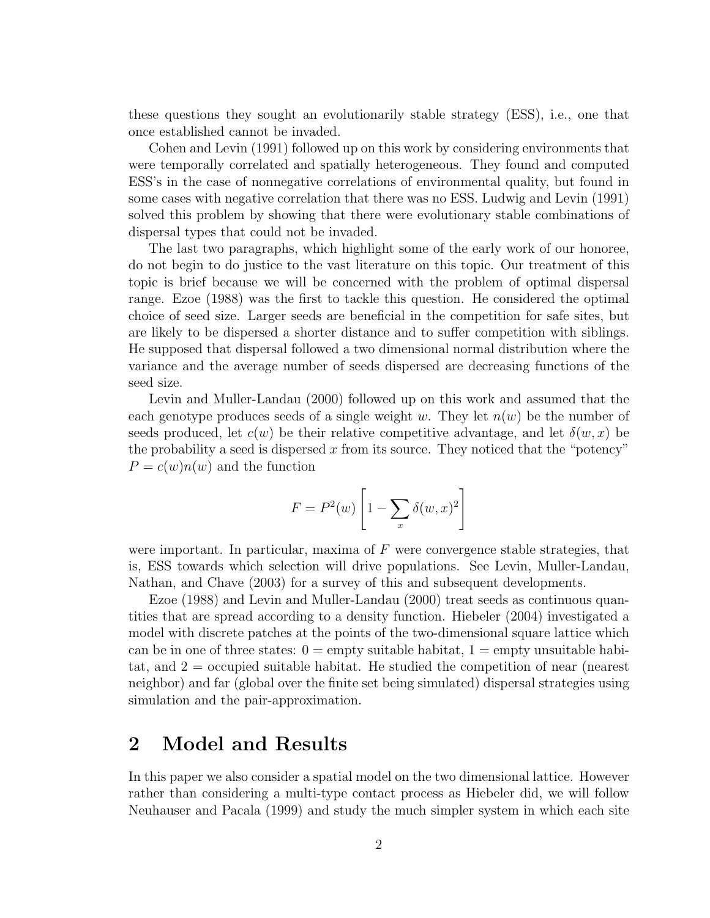these questions they sought an evolutionarily stable strategy (ESS), i.e., one that once established cannot be invaded.

Cohen and Levin (1991) followed up on this work by considering environments that were temporally correlated and spatially heterogeneous. They found and computed ESS's in the case of nonnegative correlations of environmental quality, but found in some cases with negative correlation that there was no ESS. Ludwig and Levin (1991) solved this problem by showing that there were evolutionary stable combinations of dispersal types that could not be invaded.

The last two paragraphs, which highlight some of the early work of our honoree, do not begin to do justice to the vast literature on this topic. Our treatment of this topic is brief because we will be concerned with the problem of optimal dispersal range. Ezoe (1988) was the first to tackle this question. He considered the optimal choice of seed size. Larger seeds are beneficial in the competition for safe sites, but are likely to be dispersed a shorter distance and to suffer competition with siblings. He supposed that dispersal followed a two dimensional normal distribution where the variance and the average number of seeds dispersed are decreasing functions of the seed size.

Levin and Muller-Landau (2000) followed up on this work and assumed that the each genotype produces seeds of a single weight w. They let  $n(w)$  be the number of seeds produced, let  $c(w)$  be their relative competitive advantage, and let  $\delta(w, x)$  be the probability a seed is dispersed x from its source. They noticed that the "potency"  $P = c(w)n(w)$  and the function

$$
F = P2(w) \left[ 1 - \sum_{x} \delta(w, x)^{2} \right]
$$

were important. In particular, maxima of  $F$  were convergence stable strategies, that is, ESS towards which selection will drive populations. See Levin, Muller-Landau, Nathan, and Chave (2003) for a survey of this and subsequent developments.

Ezoe (1988) and Levin and Muller-Landau (2000) treat seeds as continuous quantities that are spread according to a density function. Hiebeler (2004) investigated a model with discrete patches at the points of the two-dimensional square lattice which can be in one of three states:  $0 = \text{empty suitable habitat}, 1 = \text{empty unsuitable habit}$ tat, and  $2 =$  occupied suitable habitat. He studied the competition of near (nearest neighbor) and far (global over the finite set being simulated) dispersal strategies using simulation and the pair-approximation.

# 2 Model and Results

In this paper we also consider a spatial model on the two dimensional lattice. However rather than considering a multi-type contact process as Hiebeler did, we will follow Neuhauser and Pacala (1999) and study the much simpler system in which each site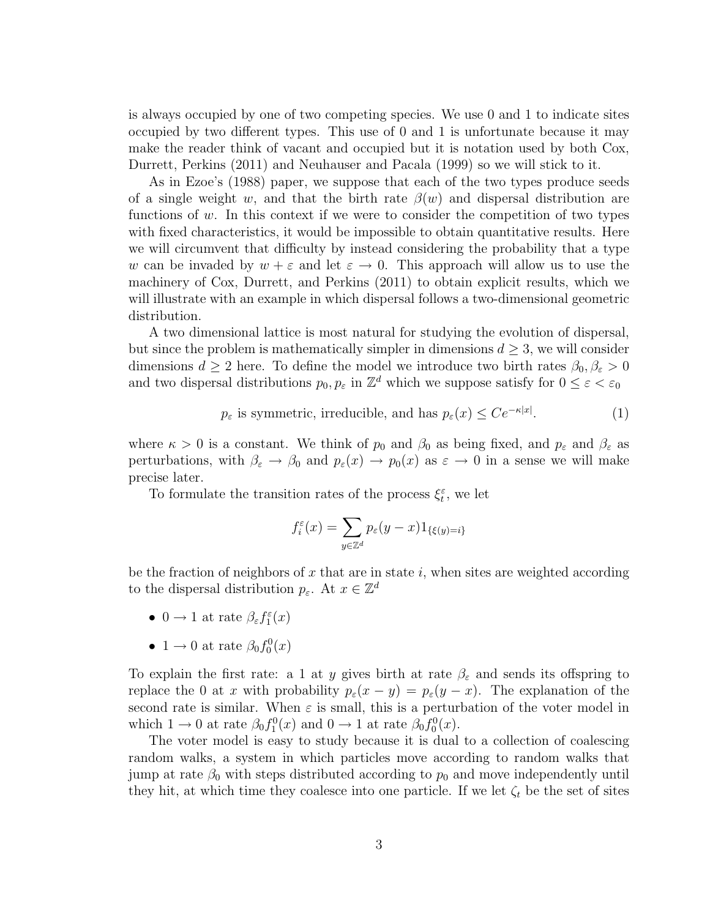is always occupied by one of two competing species. We use 0 and 1 to indicate sites occupied by two different types. This use of 0 and 1 is unfortunate because it may make the reader think of vacant and occupied but it is notation used by both Cox, Durrett, Perkins (2011) and Neuhauser and Pacala (1999) so we will stick to it.

As in Ezoe's (1988) paper, we suppose that each of the two types produce seeds of a single weight w, and that the birth rate  $\beta(w)$  and dispersal distribution are functions of  $w$ . In this context if we were to consider the competition of two types with fixed characteristics, it would be impossible to obtain quantitative results. Here we will circumvent that difficulty by instead considering the probability that a type w can be invaded by  $w + \varepsilon$  and let  $\varepsilon \to 0$ . This approach will allow us to use the machinery of Cox, Durrett, and Perkins (2011) to obtain explicit results, which we will illustrate with an example in which dispersal follows a two-dimensional geometric distribution.

A two dimensional lattice is most natural for studying the evolution of dispersal, but since the problem is mathematically simpler in dimensions  $d \geq 3$ , we will consider dimensions  $d \geq 2$  here. To define the model we introduce two birth rates  $\beta_0, \beta_{\varepsilon} > 0$ and two dispersal distributions  $p_0, p_{\varepsilon}$  in  $\mathbb{Z}^d$  which we suppose satisfy for  $0 \leq \varepsilon < \varepsilon_0$ 

> $p_{\varepsilon}$  is symmetric, irreducible, and has  $p_{\varepsilon}(x) \leq Ce^{-\kappa|x|}$ .  $(1)$

where  $\kappa > 0$  is a constant. We think of  $p_0$  and  $\beta_0$  as being fixed, and  $p_{\varepsilon}$  and  $\beta_{\varepsilon}$  as perturbations, with  $\beta_{\varepsilon} \to \beta_0$  and  $p_{\varepsilon}(x) \to p_0(x)$  as  $\varepsilon \to 0$  in a sense we will make precise later.

To formulate the transition rates of the process  $\xi_t^{\varepsilon}$ , we let

$$
f_i^{\varepsilon}(x) = \sum_{y \in \mathbb{Z}^d} p_{\varepsilon}(y - x) 1_{\{\xi(y) = i\}}
$$

be the fraction of neighbors of x that are in state i, when sites are weighted according to the dispersal distribution  $p_{\varepsilon}$ . At  $x \in \mathbb{Z}^d$ 

- $0 \to 1$  at rate  $\beta_{\varepsilon} f_1^{\varepsilon}(x)$
- 1  $\rightarrow$  0 at rate  $\beta_0 f_0^0(x)$

To explain the first rate: a 1 at y gives birth at rate  $\beta_{\varepsilon}$  and sends its offspring to replace the 0 at x with probability  $p_{\varepsilon}(x-y) = p_{\varepsilon}(y-x)$ . The explanation of the second rate is similar. When  $\varepsilon$  is small, this is a perturbation of the voter model in which  $1 \to 0$  at rate  $\beta_0 f_1^0(x)$  and  $0 \to 1$  at rate  $\beta_0 f_0^0(x)$ .

The voter model is easy to study because it is dual to a collection of coalescing random walks, a system in which particles move according to random walks that jump at rate  $\beta_0$  with steps distributed according to  $p_0$  and move independently until they hit, at which time they coalesce into one particle. If we let  $\zeta_t$  be the set of sites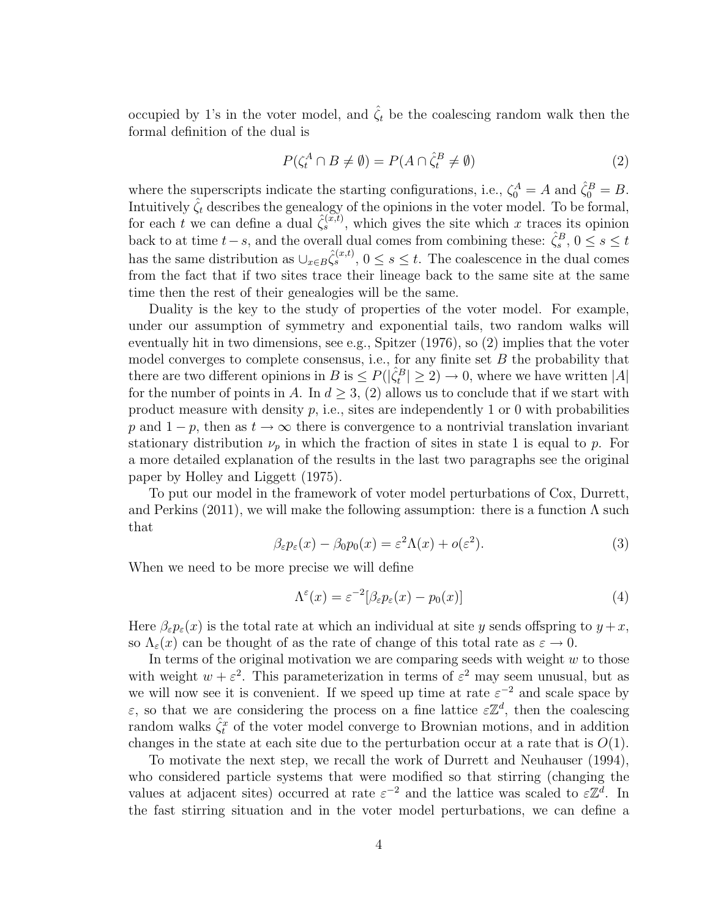occupied by 1's in the voter model, and  $\hat{\zeta}_t$  be the coalescing random walk then the formal definition of the dual is

$$
P(\zeta_t^A \cap B \neq \emptyset) = P(A \cap \hat{\zeta}_t^B \neq \emptyset)
$$
\n<sup>(2)</sup>

where the superscripts indicate the starting configurations, i.e.,  $\zeta_0^A = A$  and  $\hat{\zeta}_0^B = B$ . Intuitively  $\hat{\zeta}_t$  describes the genealogy of the opinions in the voter model. To be formal, for each t we can define a dual  $\hat{\zeta}_s^{(\tilde{x},t)}$ , which gives the site which x traces its opinion back to at time  $t-s$ , and the overall dual comes from combining these:  $\hat{\zeta}_s^B$ ,  $0 \le s \le t$ has the same distribution as  $\cup_{x \in B} \hat{\zeta}_s^{(x,t)}$ ,  $0 \le s \le t$ . The coalescence in the dual comes from the fact that if two sites trace their lineage back to the same site at the same time then the rest of their genealogies will be the same.

Duality is the key to the study of properties of the voter model. For example, under our assumption of symmetry and exponential tails, two random walks will eventually hit in two dimensions, see e.g., Spitzer (1976), so (2) implies that the voter model converges to complete consensus, i.e., for any finite set  $B$  the probability that there are two different opinions in  $B$  is  $\leq P(|\hat{\zeta}_t^B| \geq 2) \to 0$ , where we have written |A| for the number of points in A. In  $d \geq 3$ , (2) allows us to conclude that if we start with product measure with density  $p$ , i.e., sites are independently 1 or 0 with probabilities p and  $1 - p$ , then as  $t \to \infty$  there is convergence to a nontrivial translation invariant stationary distribution  $\nu_p$  in which the fraction of sites in state 1 is equal to p. For a more detailed explanation of the results in the last two paragraphs see the original paper by Holley and Liggett (1975).

To put our model in the framework of voter model perturbations of Cox, Durrett, and Perkins (2011), we will make the following assumption: there is a function  $\Lambda$  such that

$$
\beta_{\varepsilon}p_{\varepsilon}(x) - \beta_0 p_0(x) = \varepsilon^2 \Lambda(x) + o(\varepsilon^2). \tag{3}
$$

When we need to be more precise we will define

$$
\Lambda^{\varepsilon}(x) = \varepsilon^{-2} [\beta_{\varepsilon} p_{\varepsilon}(x) - p_0(x)] \tag{4}
$$

Here  $\beta_{\varepsilon}p_{\varepsilon}(x)$  is the total rate at which an individual at site y sends offspring to  $y + x$ , so  $\Lambda_{\varepsilon}(x)$  can be thought of as the rate of change of this total rate as  $\varepsilon \to 0$ .

In terms of the original motivation we are comparing seeds with weight  $w$  to those with weight  $w + \varepsilon^2$ . This parameterization in terms of  $\varepsilon^2$  may seem unusual, but as we will now see it is convenient. If we speed up time at rate  $\varepsilon^{-2}$  and scale space by  $\varepsilon$ , so that we are considering the process on a fine lattice  $\varepsilon \mathbb{Z}^d$ , then the coalescing random walks  $\hat{\zeta}_t^x$  of the voter model converge to Brownian motions, and in addition changes in the state at each site due to the perturbation occur at a rate that is  $O(1)$ .

To motivate the next step, we recall the work of Durrett and Neuhauser (1994), who considered particle systems that were modified so that stirring (changing the values at adjacent sites) occurred at rate  $\varepsilon^{-2}$  and the lattice was scaled to  $\varepsilon \mathbb{Z}^d$ . In the fast stirring situation and in the voter model perturbations, we can define a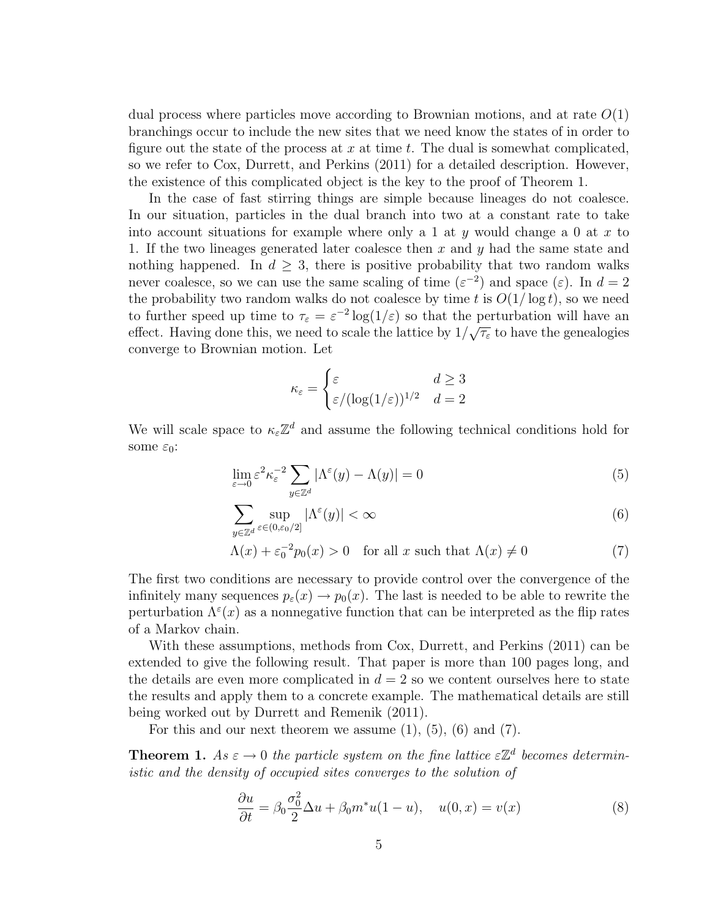dual process where particles move according to Brownian motions, and at rate  $O(1)$ branchings occur to include the new sites that we need know the states of in order to figure out the state of the process at x at time t. The dual is somewhat complicated, so we refer to Cox, Durrett, and Perkins (2011) for a detailed description. However, the existence of this complicated object is the key to the proof of Theorem 1.

In the case of fast stirring things are simple because lineages do not coalesce. In our situation, particles in the dual branch into two at a constant rate to take into account situations for example where only a 1 at y would change a 0 at x to 1. If the two lineages generated later coalesce then x and y had the same state and nothing happened. In  $d \geq 3$ , there is positive probability that two random walks never coalesce, so we can use the same scaling of time  $(\varepsilon^{-2})$  and space  $(\varepsilon)$ . In  $d=2$ the probability two random walks do not coalesce by time t is  $O(1/\log t)$ , so we need to further speed up time to  $\tau_{\varepsilon} = \varepsilon^{-2} \log(1/\varepsilon)$  so that the perturbation will have an effect. Having done this, we need to scale the lattice by  $1/\sqrt{\tau_{\varepsilon}}$  to have the genealogies converge to Brownian motion. Let

$$
\kappa_{\varepsilon} = \begin{cases} \varepsilon & d \ge 3\\ \varepsilon/(\log(1/\varepsilon))^{1/2} & d = 2 \end{cases}
$$

We will scale space to  $\kappa_{\varepsilon}\mathbb{Z}^d$  and assume the following technical conditions hold for some  $\varepsilon_0$ :

$$
\lim_{\varepsilon \to 0} \varepsilon^2 \kappa_{\varepsilon}^{-2} \sum_{y \in \mathbb{Z}^d} |\Lambda^{\varepsilon}(y) - \Lambda(y)| = 0 \tag{5}
$$

$$
\sum_{y \in \mathbb{Z}^d} \sup_{\varepsilon \in (0, \varepsilon_0/2]} |\Lambda^{\varepsilon}(y)| < \infty \tag{6}
$$

$$
\Lambda(x) + \varepsilon_0^{-2} p_0(x) > 0 \quad \text{for all } x \text{ such that } \Lambda(x) \neq 0 \tag{7}
$$

The first two conditions are necessary to provide control over the convergence of the infinitely many sequences  $p_{\varepsilon}(x) \to p_0(x)$ . The last is needed to be able to rewrite the perturbation  $\Lambda^{\varepsilon}(x)$  as a nonnegative function that can be interpreted as the flip rates of a Markov chain.

With these assumptions, methods from Cox, Durrett, and Perkins (2011) can be extended to give the following result. That paper is more than 100 pages long, and the details are even more complicated in  $d = 2$  so we content ourselves here to state the results and apply them to a concrete example. The mathematical details are still being worked out by Durrett and Remenik (2011).

For this and our next theorem we assume  $(1)$ ,  $(5)$ ,  $(6)$  and  $(7)$ .

**Theorem 1.** As  $\varepsilon \to 0$  the particle system on the fine lattice  $\varepsilon \mathbb{Z}^d$  becomes deterministic and the density of occupied sites converges to the solution of

$$
\frac{\partial u}{\partial t} = \beta_0 \frac{\sigma_0^2}{2} \Delta u + \beta_0 m^* u (1 - u), \quad u(0, x) = v(x) \tag{8}
$$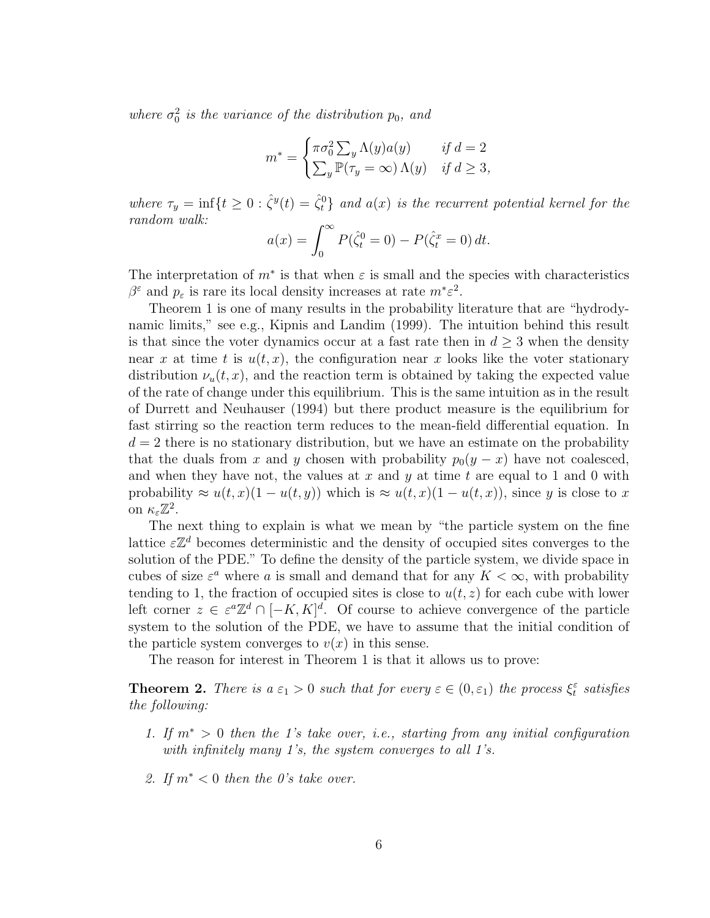where  $\sigma_0^2$  is the variance of the distribution  $p_0$ , and

$$
m^* = \begin{cases} \pi \sigma_0^2 \sum_y \Lambda(y) a(y) & \text{if } d = 2\\ \sum_y \mathbb{P}(\tau_y = \infty) \Lambda(y) & \text{if } d \ge 3, \end{cases}
$$

where  $\tau_y = \inf\{t \geq 0 : \hat{\zeta}^y(t) = \hat{\zeta}^0_t\}$  and  $a(x)$  is the recurrent potential kernel for the random walk:

$$
a(x) = \int_0^\infty P(\hat{\zeta}_t^0 = 0) - P(\hat{\zeta}_t^x = 0) dt.
$$

The interpretation of  $m^*$  is that when  $\varepsilon$  is small and the species with characteristics  $\beta^{\varepsilon}$  and  $p_{\varepsilon}$  is rare its local density increases at rate  $m^* \varepsilon^2$ .

Theorem 1 is one of many results in the probability literature that are "hydrodynamic limits," see e.g., Kipnis and Landim (1999). The intuition behind this result is that since the voter dynamics occur at a fast rate then in  $d \geq 3$  when the density near x at time t is  $u(t, x)$ , the configuration near x looks like the voter stationary distribution  $\nu_u(t, x)$ , and the reaction term is obtained by taking the expected value of the rate of change under this equilibrium. This is the same intuition as in the result of Durrett and Neuhauser (1994) but there product measure is the equilibrium for fast stirring so the reaction term reduces to the mean-field differential equation. In  $d = 2$  there is no stationary distribution, but we have an estimate on the probability that the duals from x and y chosen with probability  $p_0(y - x)$  have not coalesced, and when they have not, the values at x and y at time t are equal to 1 and 0 with probability  $\approx u(t,x)(1-u(t,y))$  which is  $\approx u(t,x)(1-u(t,x))$ , since y is close to x on  $\kappa_{\varepsilon}\mathbb{Z}^2$ .

The next thing to explain is what we mean by "the particle system on the fine lattice  $\varepsilon \mathbb{Z}^d$  becomes deterministic and the density of occupied sites converges to the solution of the PDE." To define the density of the particle system, we divide space in cubes of size  $\varepsilon^a$  where a is small and demand that for any  $K < \infty$ , with probability tending to 1, the fraction of occupied sites is close to  $u(t, z)$  for each cube with lower left corner  $z \in \varepsilon^a \mathbb{Z}^d \cap [-K, K]^d$ . Of course to achieve convergence of the particle system to the solution of the PDE, we have to assume that the initial condition of the particle system converges to  $v(x)$  in this sense.

The reason for interest in Theorem 1 is that it allows us to prove:

**Theorem 2.** There is  $a \varepsilon_1 > 0$  such that for every  $\varepsilon \in (0, \varepsilon_1)$  the process  $\xi_t^{\varepsilon}$  satisfies the following:

- 1. If  $m^* > 0$  then the 1's take over, i.e., starting from any initial configuration with infinitely many 1's, the system converges to all 1's.
- 2. If  $m^*$  < 0 then the 0's take over.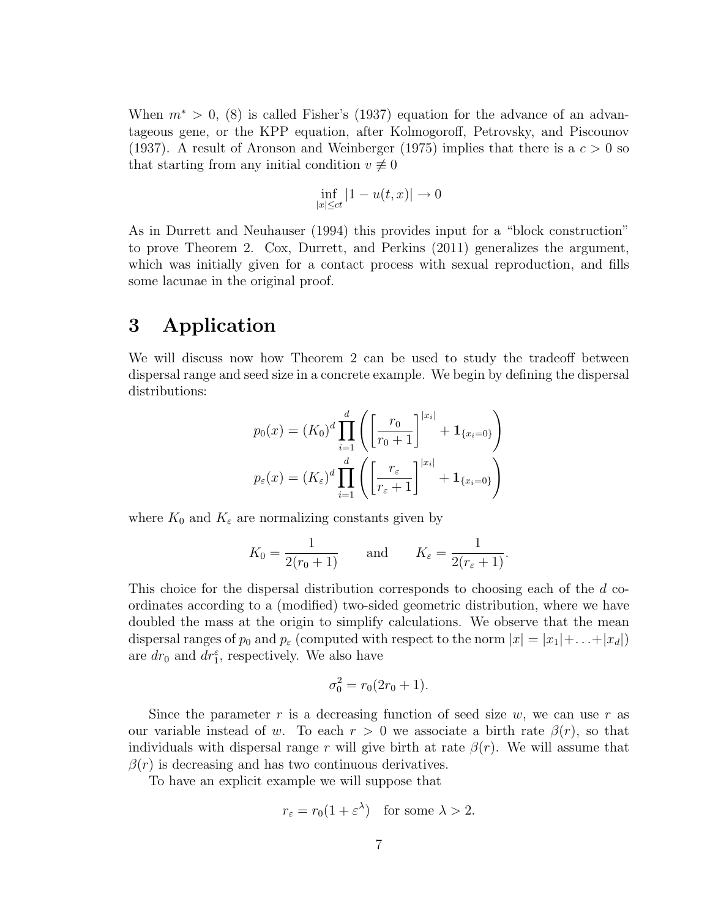When  $m^* > 0$ , (8) is called Fisher's (1937) equation for the advance of an advantageous gene, or the KPP equation, after Kolmogoroff, Petrovsky, and Piscounov (1937). A result of Aronson and Weinberger (1975) implies that there is a  $c > 0$  so that starting from any initial condition  $v \neq 0$ 

$$
\inf_{|x| \le ct} |1 - u(t, x)| \to 0
$$

As in Durrett and Neuhauser (1994) this provides input for a "block construction" to prove Theorem 2. Cox, Durrett, and Perkins (2011) generalizes the argument, which was initially given for a contact process with sexual reproduction, and fills some lacunae in the original proof.

## 3 Application

We will discuss now how Theorem 2 can be used to study the tradeoff between dispersal range and seed size in a concrete example. We begin by defining the dispersal distributions:

$$
p_0(x) = (K_0)^d \prod_{i=1}^d \left( \left[ \frac{r_0}{r_0 + 1} \right]^{x_i} + \mathbf{1}_{\{x_i = 0\}} \right)
$$

$$
p_{\varepsilon}(x) = (K_{\varepsilon})^d \prod_{i=1}^d \left( \left[ \frac{r_{\varepsilon}}{r_{\varepsilon} + 1} \right]^{x_i} + \mathbf{1}_{\{x_i = 0\}} \right)
$$

where  $K_0$  and  $K_\varepsilon$  are normalizing constants given by

$$
K_0 = \frac{1}{2(r_0 + 1)}
$$
 and  $K_{\varepsilon} = \frac{1}{2(r_{\varepsilon} + 1)}$ .

This choice for the dispersal distribution corresponds to choosing each of the d coordinates according to a (modified) two-sided geometric distribution, where we have doubled the mass at the origin to simplify calculations. We observe that the mean dispersal ranges of  $p_0$  and  $p_\varepsilon$  (computed with respect to the norm  $|x| = |x_1| + \ldots + |x_d|$ ) are  $dr_0$  and  $dr_1^{\varepsilon}$ , respectively. We also have

$$
\sigma_0^2 = r_0(2r_0 + 1).
$$

Since the parameter r is a decreasing function of seed size  $w$ , we can use r as our variable instead of w. To each  $r > 0$  we associate a birth rate  $\beta(r)$ , so that individuals with dispersal range r will give birth at rate  $\beta(r)$ . We will assume that  $\beta(r)$  is decreasing and has two continuous derivatives.

To have an explicit example we will suppose that

$$
r_{\varepsilon} = r_0(1 + \varepsilon^{\lambda}) \quad \text{for some } \lambda > 2.
$$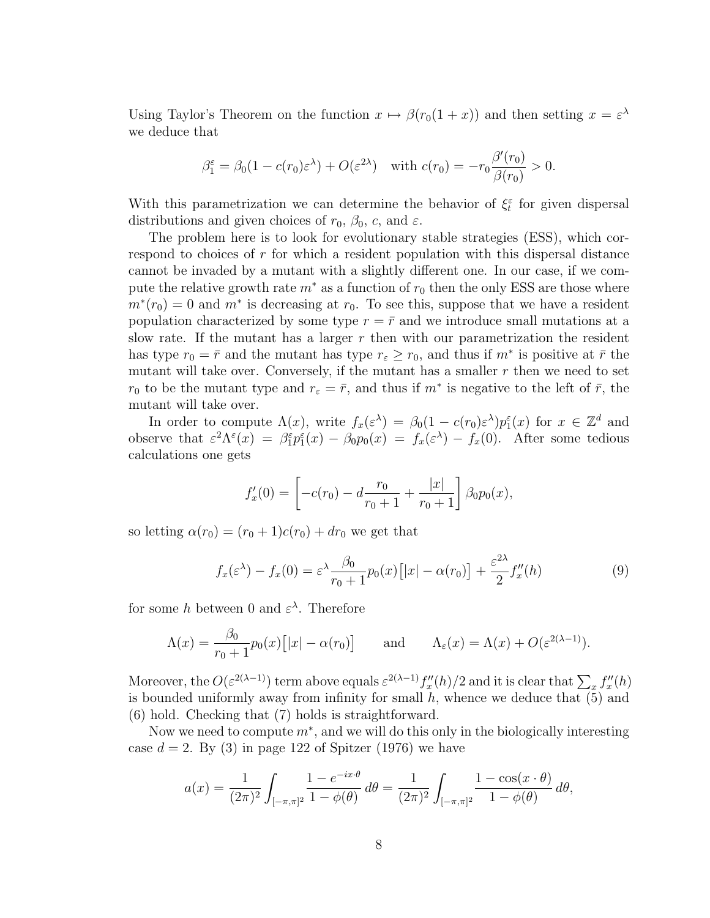Using Taylor's Theorem on the function  $x \mapsto \beta(r_0(1+x))$  and then setting  $x = \varepsilon^{\lambda}$ we deduce that

$$
\beta_1^{\varepsilon} = \beta_0 (1 - c(r_0) \varepsilon^{\lambda}) + O(\varepsilon^{2\lambda}) \quad \text{with } c(r_0) = -r_0 \frac{\beta'(r_0)}{\beta(r_0)} > 0.
$$

With this parametrization we can determine the behavior of  $\xi_t^{\varepsilon}$  for given dispersal distributions and given choices of  $r_0$ ,  $\beta_0$ , c, and  $\varepsilon$ .

The problem here is to look for evolutionary stable strategies (ESS), which correspond to choices of  $r$  for which a resident population with this dispersal distance cannot be invaded by a mutant with a slightly different one. In our case, if we compute the relative growth rate  $m^*$  as a function of  $r_0$  then the only ESS are those where  $m^*(r_0) = 0$  and  $m^*$  is decreasing at  $r_0$ . To see this, suppose that we have a resident population characterized by some type  $r = \bar{r}$  and we introduce small mutations at a slow rate. If the mutant has a larger  $r$  then with our parametrization the resident has type  $r_0 = \bar{r}$  and the mutant has type  $r_\varepsilon \geq r_0$ , and thus if  $m^*$  is positive at  $\bar{r}$  the mutant will take over. Conversely, if the mutant has a smaller  $r$  then we need to set  $r_0$  to be the mutant type and  $r_{\varepsilon} = \bar{r}$ , and thus if  $m^*$  is negative to the left of  $\bar{r}$ , the mutant will take over.

In order to compute  $\Lambda(x)$ , write  $f_x(\varepsilon^{\lambda}) = \beta_0(1 - c(r_0)\varepsilon^{\lambda})p_1^{\varepsilon}(x)$  for  $x \in \mathbb{Z}^d$  and observe that  $\varepsilon^2 \Lambda^{\varepsilon}(x) = \beta_1^{\varepsilon} p_1^{\varepsilon}(x) - \beta_0 p_0(x) = f_x(\varepsilon^{\lambda}) - f_x(0)$ . After some tedious calculations one gets

$$
f'_x(0) = \left[ -c(r_0) - d \frac{r_0}{r_0 + 1} + \frac{|x|}{r_0 + 1} \right] \beta_0 p_0(x),
$$

so letting  $\alpha(r_0) = (r_0 + 1)c(r_0) + dr_0$  we get that

$$
f_x(\varepsilon^{\lambda}) - f_x(0) = \varepsilon^{\lambda} \frac{\beta_0}{r_0 + 1} p_0(x) \left[ |x| - \alpha(r_0) \right] + \frac{\varepsilon^{2\lambda}}{2} f''_x(h) \tag{9}
$$

for some h between 0 and  $\varepsilon^{\lambda}$ . Therefore

$$
\Lambda(x) = \frac{\beta_0}{r_0 + 1} p_0(x) [ |x| - \alpha(r_0) ] \quad \text{and} \quad \Lambda_{\varepsilon}(x) = \Lambda(x) + O(\varepsilon^{2(\lambda - 1)}).
$$

Moreover, the  $O(\varepsilon^{2(\lambda-1)})$  term above equals  $\varepsilon^{2(\lambda-1)} f''_x(h)/2$  and it is clear that  $\sum_x f''_x(h)$ is bounded uniformly away from infinity for small  $h$ , whence we deduce that  $(5)$  and (6) hold. Checking that (7) holds is straightforward.

Now we need to compute  $m^*$ , and we will do this only in the biologically interesting case  $d = 2$ . By (3) in page 122 of Spitzer (1976) we have

$$
a(x) = \frac{1}{(2\pi)^2} \int_{[-\pi,\pi]^2} \frac{1 - e^{-ix\cdot\theta}}{1 - \phi(\theta)} d\theta = \frac{1}{(2\pi)^2} \int_{[-\pi,\pi]^2} \frac{1 - \cos(x \cdot \theta)}{1 - \phi(\theta)} d\theta,
$$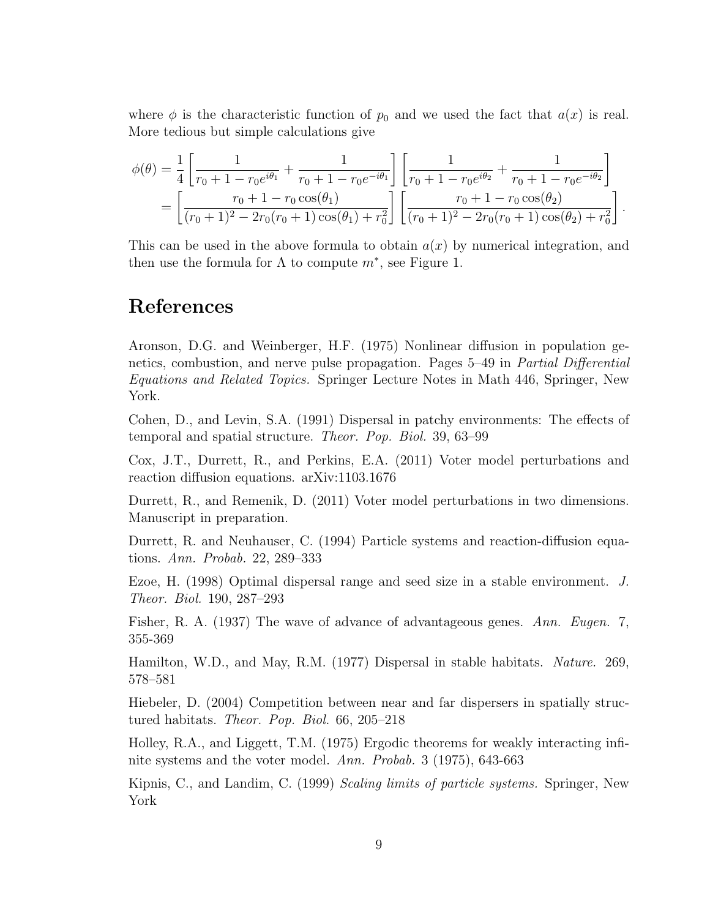where  $\phi$  is the characteristic function of  $p_0$  and we used the fact that  $a(x)$  is real. More tedious but simple calculations give

$$
\begin{split} \phi(\theta) &= \frac{1}{4} \left[ \frac{1}{r_0 + 1 - r_0 e^{i\theta_1}} + \frac{1}{r_0 + 1 - r_0 e^{-i\theta_1}} \right] \left[ \frac{1}{r_0 + 1 - r_0 e^{i\theta_2}} + \frac{1}{r_0 + 1 - r_0 e^{-i\theta_2}} \right] \\ &= \left[ \frac{r_0 + 1 - r_0 \cos(\theta_1)}{(r_0 + 1)^2 - 2r_0(r_0 + 1)\cos(\theta_1) + r_0^2} \right] \left[ \frac{r_0 + 1 - r_0 \cos(\theta_2)}{(r_0 + 1)^2 - 2r_0(r_0 + 1)\cos(\theta_2) + r_0^2} \right]. \end{split}
$$

This can be used in the above formula to obtain  $a(x)$  by numerical integration, and then use the formula for  $\Lambda$  to compute  $m^*$ , see Figure 1.

### References

Aronson, D.G. and Weinberger, H.F. (1975) Nonlinear diffusion in population genetics, combustion, and nerve pulse propagation. Pages 5–49 in Partial Differential Equations and Related Topics. Springer Lecture Notes in Math 446, Springer, New York.

Cohen, D., and Levin, S.A. (1991) Dispersal in patchy environments: The effects of temporal and spatial structure. Theor. Pop. Biol. 39, 63–99

Cox, J.T., Durrett, R., and Perkins, E.A. (2011) Voter model perturbations and reaction diffusion equations. arXiv:1103.1676

Durrett, R., and Remenik, D. (2011) Voter model perturbations in two dimensions. Manuscript in preparation.

Durrett, R. and Neuhauser, C. (1994) Particle systems and reaction-diffusion equations. Ann. Probab. 22, 289–333

Ezoe, H. (1998) Optimal dispersal range and seed size in a stable environment. J. Theor. Biol. 190, 287–293

Fisher, R. A. (1937) The wave of advance of advantageous genes. Ann. Eugen. 7, 355-369

Hamilton, W.D., and May, R.M. (1977) Dispersal in stable habitats. Nature. 269, 578–581

Hiebeler, D. (2004) Competition between near and far dispersers in spatially structured habitats. Theor. Pop. Biol. 66, 205–218

Holley, R.A., and Liggett, T.M. (1975) Ergodic theorems for weakly interacting infinite systems and the voter model. Ann. Probab. 3 (1975), 643-663

Kipnis, C., and Landim, C. (1999) Scaling limits of particle systems. Springer, New York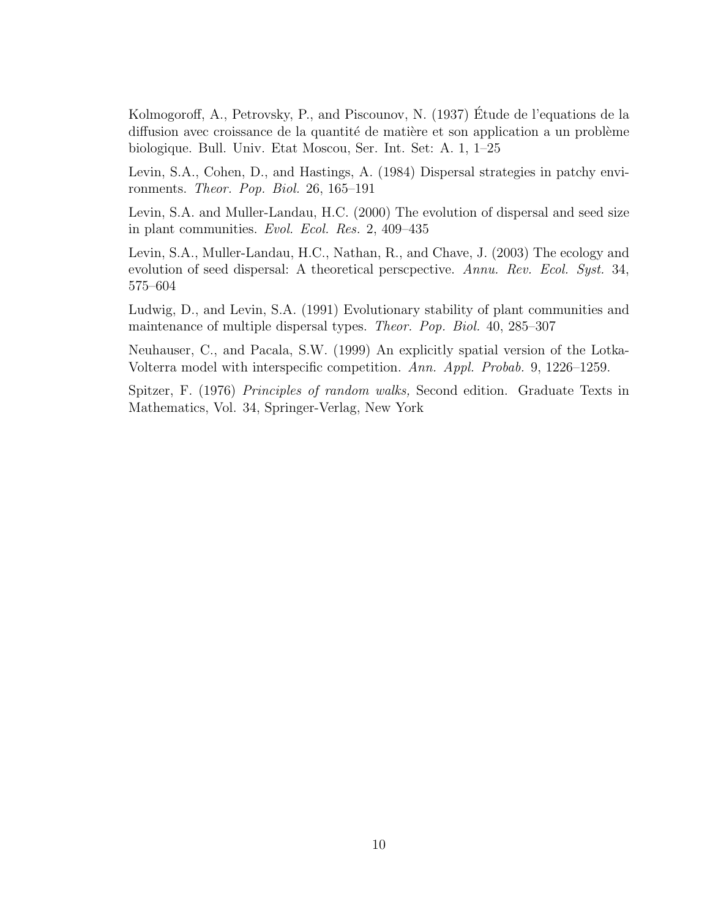Kolmogoroff, A., Petrovsky, P., and Piscounov, N. (1937) Etude de l'equations de la ´ diffusion avec croissance de la quantité de matière et son application a un problème biologique. Bull. Univ. Etat Moscou, Ser. Int. Set: A. 1, 1–25

Levin, S.A., Cohen, D., and Hastings, A. (1984) Dispersal strategies in patchy environments. Theor. Pop. Biol. 26, 165–191

Levin, S.A. and Muller-Landau, H.C. (2000) The evolution of dispersal and seed size in plant communities. Evol. Ecol. Res. 2, 409–435

Levin, S.A., Muller-Landau, H.C., Nathan, R., and Chave, J. (2003) The ecology and evolution of seed dispersal: A theoretical perscpective. Annu. Rev. Ecol. Syst. 34, 575–604

Ludwig, D., and Levin, S.A. (1991) Evolutionary stability of plant communities and maintenance of multiple dispersal types. Theor. Pop. Biol. 40, 285–307

Neuhauser, C., and Pacala, S.W. (1999) An explicitly spatial version of the Lotka-Volterra model with interspecific competition. Ann. Appl. Probab. 9, 1226–1259.

Spitzer, F. (1976) Principles of random walks, Second edition. Graduate Texts in Mathematics, Vol. 34, Springer-Verlag, New York